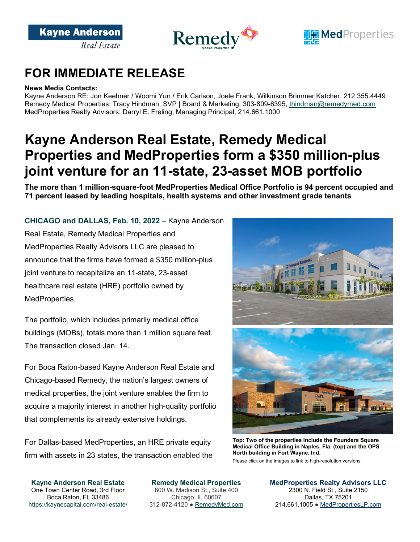





#### **News Media Contacts:**

Kayne Anderson RE: Jon Keehner / Woomi Yun / Erik Carlson, Joele Frank, Wilkinson Brimmer Katcher, 212.355.4449 Remedy Medical Properties: Tracy Hindman, SVP | Brand & Marketing, 303-809-6395, [thindman@remedymed.com](mailto:thindman@remedymed.com) MedProperties Realty Advisors: Darryl E. Freling, Managing Principal, 214.661.1000

# **Kayne Anderson Real Estate, Remedy Medical Properties and MedProperties form a \$350 million-plus joint venture for an 11-state, 23-asset MOB portfolio**

**The more than 1 million-square-foot MedProperties Medical Office Portfolio is 94 percent occupied and 71 percent leased by leading hospitals, health systems and other investment grade tenants** 

### **CHICAGO and DALLAS, Feb. 10, 2022** – Kayne Anderson

Real Estate, Remedy Medical Properties and MedProperties Realty Advisors LLC are pleased to announce that the firms have formed a \$350 million-plus joint venture to recapitalize an 11-state, 23-asset healthcare real estate (HRE) portfolio owned by MedProperties.

The portfolio, which includes primarily medical office buildings (MOBs), totals more than 1 million square feet. The transaction closed Jan. 14.

For Boca Raton-based Kayne Anderson Real Estate and Chicago-based Remedy, the nation's largest owners of medical properties, the joint venture enables the firm to acquire a majority interest in another high-quality portfolio that complements its already extensive holdings.

For Dallas-based MedProperties, an HRE private equity firm with assets in 23 states, the transaction enabled the



**Top: Two of the properties include the Founders Square Medical Office Building in Naples, Fla. (top) and the OPS North building in Fort Wayne, Ind.**

Please click on the images to link to high-resolution versions.

**Kayne Anderson Real Estate** One Town Center Road, 3rd Floor Boca Raton, FL 33486 https://kaynecapital.com/real-estate/

**Remedy Medical Properties** 800 W. Madison St., Suite 400 Chicago, IL 60607 312-872-4120 ● [RemedyMed.com](https://www.remedymed.com/)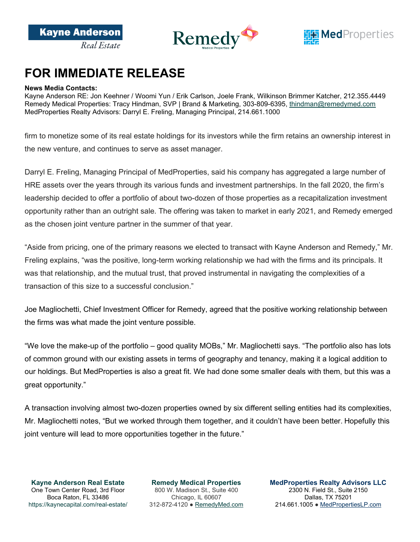

#### **News Media Contacts:**

Kayne Anderson RE: Jon Keehner / Woomi Yun / Erik Carlson, Joele Frank, Wilkinson Brimmer Katcher, 212.355.4449 Remedy Medical Properties: Tracy Hindman, SVP | Brand & Marketing, 303-809-6395, [thindman@remedymed.com](mailto:thindman@remedymed.com) MedProperties Realty Advisors: Darryl E. Freling, Managing Principal, 214.661.1000

firm to monetize some of its real estate holdings for its investors while the firm retains an ownership interest in the new venture, and continues to serve as asset manager.

Darryl E. Freling, Managing Principal of MedProperties, said his company has aggregated a large number of HRE assets over the years through its various funds and investment partnerships. In the fall 2020, the firm's leadership decided to offer a portfolio of about two-dozen of those properties as a recapitalization investment opportunity rather than an outright sale. The offering was taken to market in early 2021, and Remedy emerged as the chosen joint venture partner in the summer of that year.

"Aside from pricing, one of the primary reasons we elected to transact with Kayne Anderson and Remedy," Mr. Freling explains, "was the positive, long-term working relationship we had with the firms and its principals. It was that relationship, and the mutual trust, that proved instrumental in navigating the complexities of a transaction of this size to a successful conclusion."

Joe Magliochetti, Chief Investment Officer for Remedy, agreed that the positive working relationship between the firms was what made the joint venture possible.

"We love the make-up of the portfolio – good quality MOBs," Mr. Magliochetti says. "The portfolio also has lots of common ground with our existing assets in terms of geography and tenancy, making it a logical addition to our holdings. But MedProperties is also a great fit. We had done some smaller deals with them, but this was a great opportunity."

A transaction involving almost two-dozen properties owned by six different selling entities had its complexities, Mr. Magliochetti notes, "But we worked through them together, and it couldn't have been better. Hopefully this joint venture will lead to more opportunities together in the future."

**Kayne Anderson Real Estate** One Town Center Road, 3rd Floor Boca Raton, FL 33486 https://kaynecapital.com/real-estate/

**Remedy Medical Properties** 800 W. Madison St., Suite 400 Chicago, IL 60607 312-872-4120 ● [RemedyMed.com](https://www.remedymed.com/)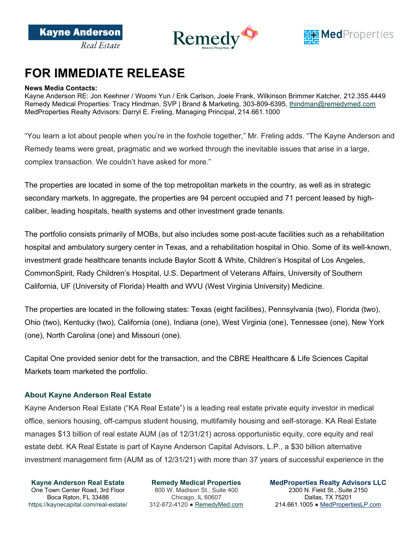



#### **News Media Contacts:**

Kayne Anderson RE: Jon Keehner / Woomi Yun / Erik Carlson, Joele Frank, Wilkinson Brimmer Katcher, 212.355.4449 Remedy Medical Properties: Tracy Hindman, SVP | Brand & Marketing, 303-809-6395, [thindman@remedymed.com](mailto:thindman@remedymed.com) MedProperties Realty Advisors: Darryl E. Freling, Managing Principal, 214.661.1000

"You learn a lot about people when you're in the foxhole together," Mr. Freling adds. "The Kayne Anderson and Remedy teams were great, pragmatic and we worked through the inevitable issues that arise in a large, complex transaction. We couldn't have asked for more."

The properties are located in some of the top metropolitan markets in the country, as well as in strategic secondary markets. In aggregate, the properties are 94 percent occupied and 71 percent leased by highcaliber, leading hospitals, health systems and other investment grade tenants.

The portfolio consists primarily of MOBs, but also includes some post-acute facilities such as a rehabilitation hospital and ambulatory surgery center in Texas, and a rehabilitation hospital in Ohio. Some of its well-known, investment grade healthcare tenants include Baylor Scott & White, Children's Hospital of Los Angeles, CommonSpirit, Rady Children's Hospital, U.S. Department of Veterans Affairs, University of Southern California, UF (University of Florida) Health and WVU (West Virginia University) Medicine.

The properties are located in the following states: Texas (eight facilities), Pennsylvania (two), Florida (two), Ohio (two), Kentucky (two), California (one), Indiana (one), West Virginia (one), Tennessee (one), New York (one), North Carolina (one) and Missouri (one).

Capital One provided senior debt for the transaction, and the CBRE Healthcare & Life Sciences Capital Markets team marketed the portfolio.

### **About Kayne Anderson Real Estate**

Kayne Anderson Real Estate ("KA Real Estate") is a leading real estate private equity investor in medical office, seniors housing, off-campus student housing, multifamily housing and self-storage. KA Real Estate manages \$13 billion of real estate AUM (as of 12/31/21) across opportunistic equity, core equity and real estate debt. KA Real Estate is part of Kayne Anderson Capital Advisors, L.P., a \$30 billion alternative investment management firm (AUM as of 12/31/21) with more than 37 years of successful experience in the

**Kayne Anderson Real Estate** One Town Center Road, 3rd Floor Boca Raton, FL 33486 https://kaynecapital.com/real-estate/

**Remedy Medical Properties** 800 W. Madison St., Suite 400 Chicago, IL 60607 312-872-4120 ● [RemedyMed.com](https://www.remedymed.com/)